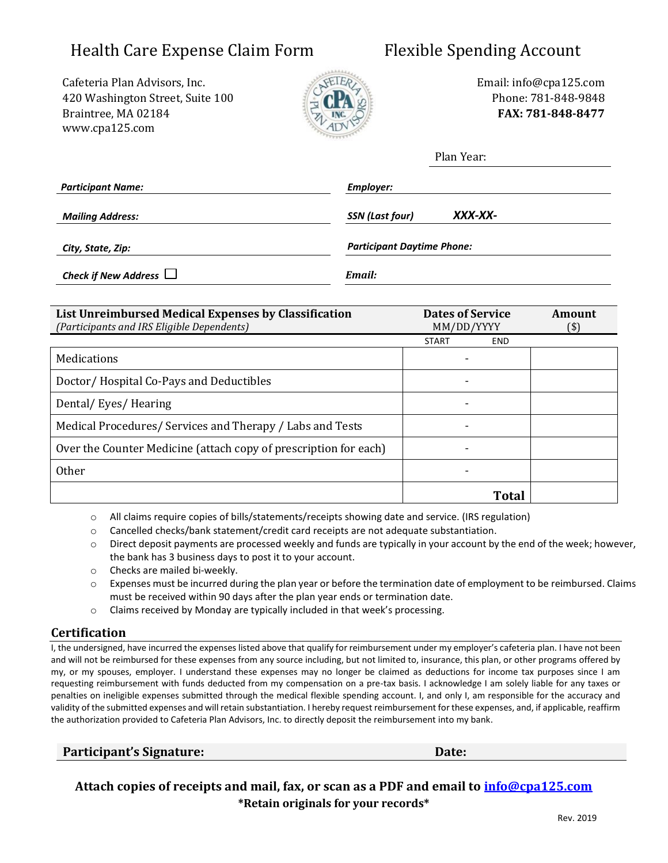# Health Care Expense Claim Form Flexible Spending Account

Cafeteria Plan Advisors, Inc. The Cafeteria Plan Advisors, Inc. The Email: info@cpa125.com 420 Washington Street, Suite 100 Phone: 781-848-9848 Braintree, MA 02184 **FAX: 781-848-8477** [www.cpa125.com](http://www.cpa125.com/)



|                             | Plan Year:                        |  |
|-----------------------------|-----------------------------------|--|
| <b>Participant Name:</b>    | Employer:                         |  |
| <b>Mailing Address:</b>     | XXX-XX-<br><b>SSN</b> (Last four) |  |
| City, State, Zip:           | <b>Participant Daytime Phone:</b> |  |
| Check if New Address $\Box$ | Email:                            |  |

| <b>Dates of Service</b><br>List Unreimbursed Medical Expenses by Classification |                    | Amount |
|---------------------------------------------------------------------------------|--------------------|--------|
| (Participants and IRS Eligible Dependents)                                      | MM/DD/YYYY<br>(\$) |        |
|                                                                                 | START<br>END.      |        |
| Medications                                                                     |                    |        |
| Doctor/Hospital Co-Pays and Deductibles                                         |                    |        |
| Dental/Eyes/Hearing                                                             |                    |        |
| Medical Procedures/ Services and Therapy / Labs and Tests                       |                    |        |
| Over the Counter Medicine (attach copy of prescription for each)                |                    |        |
| <b>Other</b>                                                                    |                    |        |
|                                                                                 | Total              |        |

o All claims require copies of bills/statements/receipts showing date and service. (IRS regulation)

- o Cancelled checks/bank statement/credit card receipts are not adequate substantiation.
- o Direct deposit payments are processed weekly and funds are typically in your account by the end of the week; however, the bank has 3 business days to post it to your account.
- o Checks are mailed bi-weekly.
- $\circ$  Expenses must be incurred during the plan year or before the termination date of employment to be reimbursed. Claims must be received within 90 days after the plan year ends or termination date.
- o Claims received by Monday are typically included in that week's processing.

# **Certification**

I, the undersigned, have incurred the expenses listed above that qualify for reimbursement under my employer's cafeteria plan. I have not been and will not be reimbursed for these expenses from any source including, but not limited to, insurance, this plan, or other programs offered by my, or my spouses, employer. I understand these expenses may no longer be claimed as deductions for income tax purposes since I am requesting reimbursement with funds deducted from my compensation on a pre-tax basis. I acknowledge I am solely liable for any taxes or penalties on ineligible expenses submitted through the medical flexible spending account. I, and only I, am responsible for the accuracy and validity of the submitted expenses and will retain substantiation. I hereby request reimbursement for these expenses, and, if applicable, reaffirm the authorization provided to Cafeteria Plan Advisors, Inc. to directly deposit the reimbursement into my bank.

**Participant's Signature: Date:**

**Attach copies of receipts and mail, fax, or scan as a PDF and email to [info@cpa125.com](mailto:info@cpa125.com) \*Retain originals for your records\***